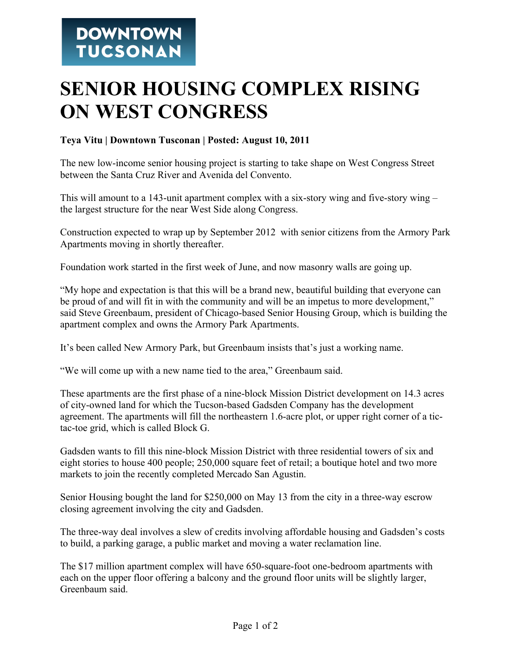## **SENIOR HOUSING COMPLEX RISING ON WEST CONGRESS**

## **Teya Vitu | Downtown Tusconan | Posted: August 10, 2011**

The new low-income senior housing project is starting to take shape on West Congress Street between the Santa Cruz River and Avenida del Convento.

This will amount to a 143-unit apartment complex with a six-story wing and five-story wing  $$ the largest structure for the near West Side along Congress.

Construction expected to wrap up by September 2012 with senior citizens from the Armory Park Apartments moving in shortly thereafter.

Foundation work started in the first week of June, and now masonry walls are going up.

"My hope and expectation is that this will be a brand new, beautiful building that everyone can be proud of and will fit in with the community and will be an impetus to more development," said Steve Greenbaum, president of Chicago-based Senior Housing Group, which is building the apartment complex and owns the Armory Park Apartments.

It's been called New Armory Park, but Greenbaum insists that's just a working name.

"We will come up with a new name tied to the area," Greenbaum said.

These apartments are the first phase of a nine-block Mission District development on 14.3 acres of city-owned land for which the Tucson-based Gadsden Company has the development agreement. The apartments will fill the northeastern 1.6-acre plot, or upper right corner of a tictac-toe grid, which is called Block G.

Gadsden wants to fill this nine-block Mission District with three residential towers of six and eight stories to house 400 people; 250,000 square feet of retail; a boutique hotel and two more markets to join the recently completed Mercado San Agustin.

Senior Housing bought the land for \$250,000 on May 13 from the city in a three-way escrow closing agreement involving the city and Gadsden.

The three-way deal involves a slew of credits involving affordable housing and Gadsden's costs to build, a parking garage, a public market and moving a water reclamation line.

The \$17 million apartment complex will have 650-square-foot one-bedroom apartments with each on the upper floor offering a balcony and the ground floor units will be slightly larger, Greenbaum said.